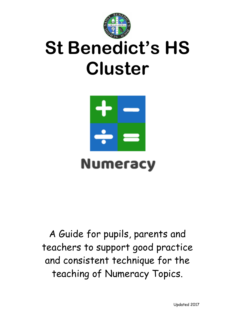

# **St Benedict's HS Cluster**



## **Numeracy**

A Guide for pupils, parents and teachers to support good practice and consistent technique for the teaching of Numeracy Topics.

Updated 2017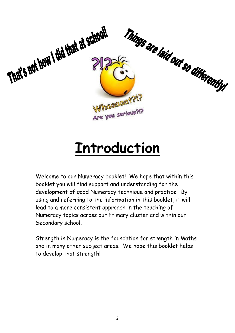

## **Introduction**

Welcome to our Numeracy booklet! We hope that within this booklet you will find support and understanding for the development of good Numeracy technique and practice. By using and referring to the information in this booklet, it will lead to a more consistent approach in the teaching of Numeracy topics across our Primary cluster and within our Secondary school.

Strength in Numeracy is the foundation for strength in Maths and in many other subject areas. We hope this booklet helps to develop that strength!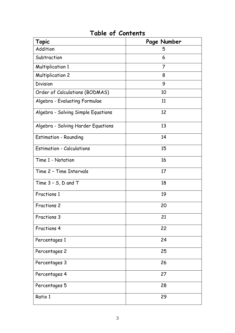| <b>Topic</b>                       | Page Number    |
|------------------------------------|----------------|
| Addition                           | 5              |
| Subtraction                        | 6              |
| <b>Multiplication 1</b>            | $\overline{7}$ |
| <b>Multiplication 2</b>            | 8              |
| <b>Division</b>                    | 9              |
| Order of Calculations (BODMAS)     | 10             |
| Algebra - Evaluating Formulae      | 11             |
| Algebra - Solving Simple Equations | 12             |
| Algebra - Solving Harder Equations | 13             |
| <b>Estimation - Rounding</b>       | 14             |
| <b>Estimation - Calculations</b>   | 15             |
| Time 1 - Notation                  | 16             |
| Time 2 - Time Intervals            | 17             |
| Time $3 - 5$ , $D$ and T           | 18             |
| <b>Fractions 1</b>                 | 19             |
| <b>Fractions 2</b>                 | 20             |
| Fractions 3                        | 21             |
| Fractions 4                        | 22             |
| Percentages 1                      | 24             |
| Percentages 2                      | 25             |
| Percentages 3                      | 26             |
| Percentages 4                      | 27             |
| Percentages 5                      | 28             |
| Ratio 1                            | 29             |

## **Table of Contents**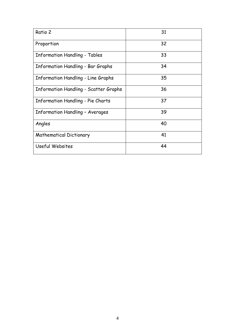| Ratio 2                                      | 31 |
|----------------------------------------------|----|
| Proportion                                   | 32 |
| <b>Information Handling - Tables</b>         | 33 |
| <b>Information Handling - Bar Graphs</b>     | 34 |
| <b>Information Handling - Line Graphs</b>    | 35 |
| <b>Information Handling - Scatter Graphs</b> | 36 |
| <b>Information Handling - Pie Charts</b>     | 37 |
| <b>Information Handling - Averages</b>       | 39 |
| Angles                                       | 40 |
| <b>Mathematical Dictionary</b>               | 41 |
| Useful Websites                              | 44 |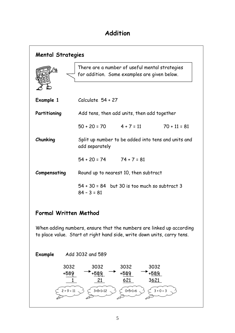## **Addition**

| <b>Mental Strategies</b>                                                                                                                        |                                                                                                |                                                                         |                |
|-------------------------------------------------------------------------------------------------------------------------------------------------|------------------------------------------------------------------------------------------------|-------------------------------------------------------------------------|----------------|
|                                                                                                                                                 | There are a number of useful mental strategies<br>for addition. Some examples are given below. |                                                                         |                |
| Example 1                                                                                                                                       | Calculate $54 + 27$                                                                            |                                                                         |                |
| Partitioning                                                                                                                                    | Add tens, then add units, then add together                                                    |                                                                         |                |
|                                                                                                                                                 | $50 + 20 = 70$ $4 + 7 = 11$                                                                    |                                                                         | $70 + 11 = 81$ |
| Chunking                                                                                                                                        | Split up number to be added into tens and units and<br>add separately                          |                                                                         |                |
|                                                                                                                                                 | $54 + 20 = 74$ $74 + 7 = 81$                                                                   |                                                                         |                |
| Compensating                                                                                                                                    | Round up to nearest 10, then subtract                                                          |                                                                         |                |
|                                                                                                                                                 | 54 + 30 = 84 but 30 is too much so subtract 3<br>$84 - 3 = 81$                                 |                                                                         |                |
| Formal Written Method                                                                                                                           |                                                                                                |                                                                         |                |
| When adding numbers, ensure that the numbers are linked up according<br>to place value. Start at right hand side, write down units, carry tens. |                                                                                                |                                                                         |                |
| Example                                                                                                                                         | Add 3032 and 589                                                                               |                                                                         |                |
| 3032<br>+589<br>$2 + 9 = 11$                                                                                                                    | 3032<br>-589<br>21<br>$3+8+1=12$                                                               | 3032<br>3032<br>+589<br>+589<br>621<br>3621<br>$0+5+1=6$<br>$3 + 0 = 3$ |                |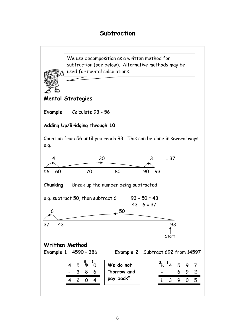## **Subtraction**

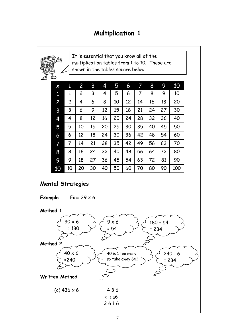## **Multiplication 1**

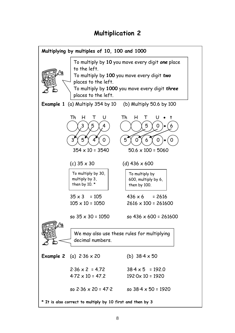## **Multiplication 2**

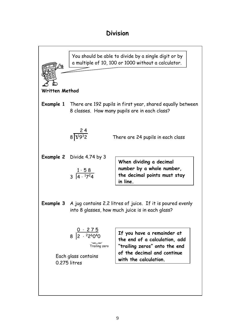## **Division**

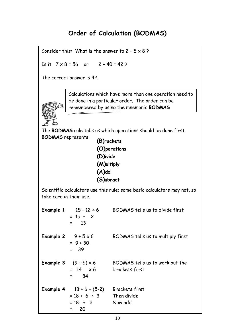## **Order of Calculation (BODMAS)**

Consider this: What is the answer to  $2 + 5 \times 8$ ?

Is it  $7 \times 8 = 56$  or  $2 + 40 = 42$ ?

The correct answer is 42.



Calculations which have more than one operation need to be done in a particular order. The order can be remembered by using the mnemonic **BODMAS**

The **BODMAS** rule tells us which operations should be done first. **BODMAS** represents:

**(B)rackets (O)perations (D)ivide (M)ultiply (A)dd (S)ubract**

Scientific calculators use this rule; some basic calculators may not, so take care in their use.

|                            | <b>Example 1</b> $15 - 12 \div 6$<br>$= 15 - 2$<br>13<br>$\Xi$ and $\Xi$                       | BODMAS tells us to divide first                   |
|----------------------------|------------------------------------------------------------------------------------------------|---------------------------------------------------|
| Example 2 $9 + 5 \times 6$ | $= 9 + 30$<br>= 39                                                                             | BODMAS tells us to multiply first                 |
|                            | <b>Example 3</b> $(9 + 5) \times 6$<br>$= 14 \times 6$<br>-84<br>$\mathbf{z}$ and $\mathbf{z}$ | BODMAS tells us to work out the<br>brackets first |
|                            | <b>Example 4</b> $18 + 6 \div (5-2)$<br>$= 18 + 6 \div 3$ Then divide<br>$= 18 + 2$<br>20      | <b>Brackets first</b><br>Now add                  |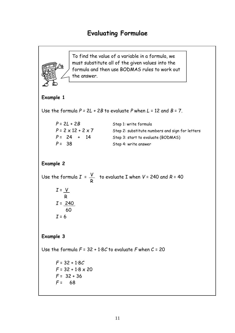## **Evaluating Formulae**

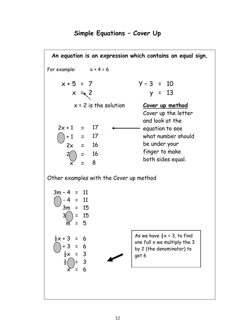## **Simple Equations – Cover Up**

**An equation is an expression which contains an equal sign.** For example:  $x + 4 = 6$  $x + 5 = 7$   $y - 3 = 10$  $x = x^2$  y = 13  $2x + 1 = 17$  $+ 1 = 17$  $2x = 16$  $=$  16  $\widetilde{\times}$  = 8 Other examples with the Cover up method  $3m - 4 = 11$  $( ) - 4 = 11$ 3m = 15  $= 15$  $5$  $\frac{1}{2}x + 3 = 6$  $( )+3 = 6$  $\frac{1}{2}x = 3$  $= 3$  $x = 6$  $x = 2$  is the solution **Cover up method** Cover up the letter and look at the - equation to see what number should be under your finger to make both sides equal. As we have  $\frac{1}{2}x = 3$ , to find one full  $x$  we multiply the 3 by 2 (the denominator) to get 6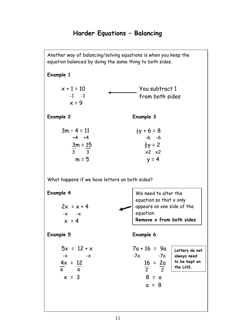## **Harder Equations – Balancing**

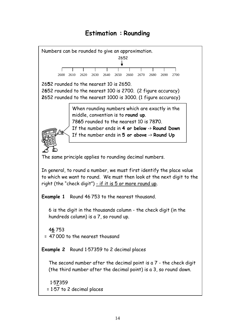## **Estimation : Rounding**

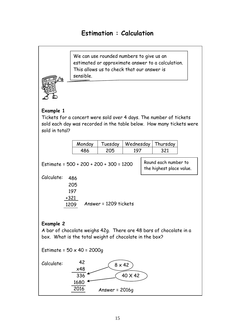## **Estimation : Calculation**

We can use rounded numbers to give us an estimated or approximate answer to a calculation. This allows us to check that our answer is sensible.

![](_page_14_Picture_2.jpeg)

#### **Example 1**

Tickets for a concert were sold over 4 days. The number of tickets sold each day was recorded in the table below. How many tickets were sold in total?

| Monday | Tuesdav | Wednesday   Thursday |  |
|--------|---------|----------------------|--|
|        |         |                      |  |

Estimate = 500 + 200 + 200 + 300 = 1200

Round each number to the highest place value.

Calculate: 486

| 205    |                       |
|--------|-----------------------|
| 197    |                       |
| $+321$ |                       |
| 1209   | Answer = 1209 tickets |

#### **Example 2**

A bar of chocolate weighs 42g. There are 48 bars of chocolate in a box. What is the total weight of chocolate in the box?

Estimate =  $50 \times 40 = 2000q$ 

![](_page_14_Figure_13.jpeg)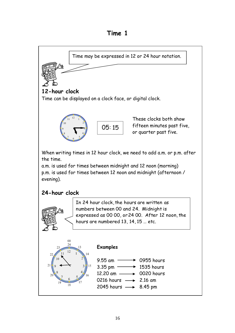**Time 1**

![](_page_15_Figure_1.jpeg)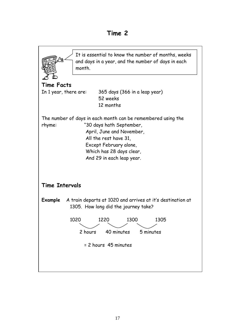![](_page_16_Figure_1.jpeg)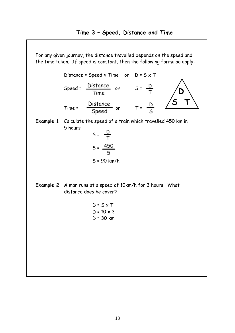![](_page_17_Figure_1.jpeg)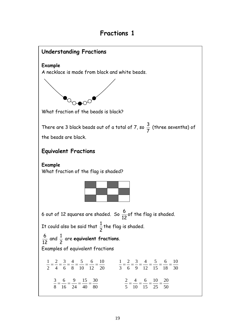## **Fractions 1**

![](_page_18_Figure_1.jpeg)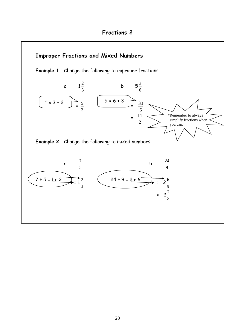![](_page_19_Figure_1.jpeg)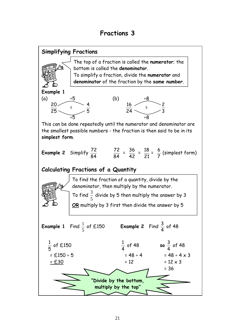![](_page_20_Figure_1.jpeg)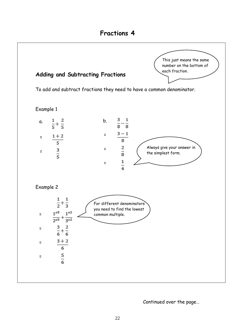![](_page_21_Figure_1.jpeg)

Continued over the page…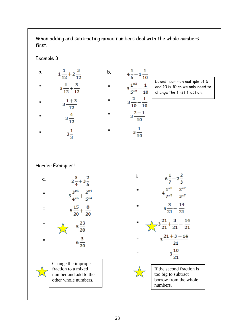When adding and subtracting mixed numbers deal with the whole numbers first.

b.

=

=

=

=

#### Example 3

=

 $1\frac{1}{12}+2\frac{3}{12}$ a.  $3\frac{1}{12} + \frac{3}{12}$ =  $3\frac{1+3}{12}$ =  $3\frac{4}{12}$ =

 $3\frac{1}{3}$ 

$$
4\frac{1}{5} - 1\frac{1}{10}
$$
\n
$$
3\frac{1^{x^{2}}}{5^{x^{2}}} - \frac{1}{10}
$$
\n
$$
3\frac{2}{10} - \frac{1}{10}
$$
\n
$$
3\frac{2 - 1}{10}
$$
\n
$$
3\frac{2 - 1}{10}
$$

 $3\frac{1}{10}$ 

west common multiple of 5 d 10 is 10 so we only need to ange the first fraction.

Harder Examples!

![](_page_22_Figure_6.jpeg)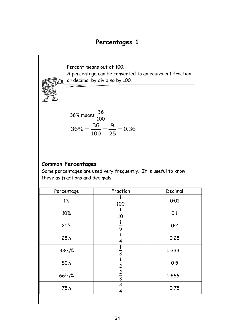## **Percentages 1**

Percent means out of 100. A percentage can be converted to an equivalent fraction or decimal by dividing by 100.

36% means 
$$
\frac{36}{100}
$$
  
36% =  $\frac{36}{100}$  =  $\frac{9}{25}$  = 0.36

#### **Common Percentages**

Some percentages are used very frequently. It is useful to know these as fractions and decimals.

| Percentage   | Fraction                        | Decimal |
|--------------|---------------------------------|---------|
| $1\%$        | 100                             | 0.01    |
| 10%          | 10                              | 0.1     |
| 20%          | $\overline{5}$                  | 0.2     |
| 25%          | $\overline{4}$                  | 0.25    |
| $33^{1/3}$ % | 1<br>$\overline{3}$             | 0.333   |
| 50%          | 1<br>$\overline{2}$             | 0.5     |
| $66^{2}/3%$  | $\overline{2}$                  | 0.666   |
| 75%          | $\frac{3}{3}$<br>$\overline{4}$ | 0.75    |
|              |                                 |         |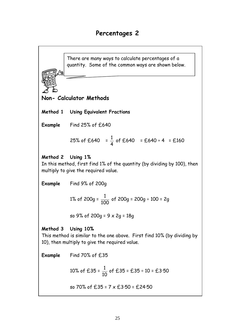There are many ways to calculate percentages of a quantity. Some of the common ways are shown below.

**Non- Calculator Methods**

**Method 1 Using Equivalent Fractions**

**Example** Find 25% of £640

25% of £640 = 
$$
\frac{1}{4}
$$
 of £640 = £640 ÷ 4 = £160

#### **Method 2 Using 1%**

In this method, first find 1% of the quantity (by dividing by 100), then multiply to give the required value.

**Example** Find 9% of 200g

1% of 
$$
200g = \frac{1}{100}
$$
 of  $200g = 200g \div 100 = 2g$ 

so 9% of 200g = 9 x 2g = 18g

#### **Method 3 Using 10%**

This method is similar to the one above. First find 10% (by dividing by 10), then multiply to give the required value.

**Example** Find 70% of £35

 $\overline{\phantom{0}}$ 

10% of £35 = 
$$
\frac{1}{10}
$$
 of £35 = £35 ÷ 10 = £3.50

so 70% of £35 = 
$$
7 \times £3.50 = £24.50
$$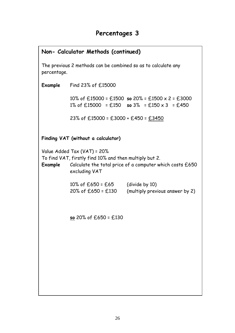|             | Non- Calculator Methods (continued)                                                                    |                                                                                                 |
|-------------|--------------------------------------------------------------------------------------------------------|-------------------------------------------------------------------------------------------------|
| percentage. |                                                                                                        | The previous 2 methods can be combined so as to calculate any                                   |
|             | Example Find $23\%$ of $£15000$                                                                        |                                                                                                 |
|             |                                                                                                        | 10% of £15000 = £1500 so 20% = £1500 x 2 = £3000<br>1% of £15000 = £150 so 3% = £150 x 3 = £450 |
|             | 23% of £15000 = £3000 + £450 = £3450                                                                   |                                                                                                 |
|             | Finding VAT (without a calculator)                                                                     |                                                                                                 |
| Example     | Value Added Tax (VAT) = 20%<br>To find VAT, firstly find 10% and then multiply but 2.<br>excluding VAT | Calculate the total price of a computer which costs £650                                        |
|             | $10\%$ of £650 = £65<br>20% of £650 = £130                                                             | (divide by 10)<br>(multiply previous answer by 2)                                               |
|             | so 20% of $£650 = £130$                                                                                |                                                                                                 |
|             |                                                                                                        |                                                                                                 |
|             |                                                                                                        |                                                                                                 |
|             |                                                                                                        |                                                                                                 |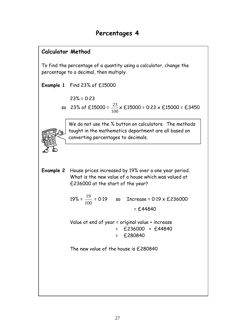## **Calculator Method**

To find the percentage of a quantity using a calculator, change the percentage to a decimal, then multiply.

**Example 1** Find 23% of £15000

$$
23\% = 0.23
$$

 so 23% of £15000 = 100  $\frac{23}{100}$  x £15000 = 0·23 x £15000 = £3450

> We do not use the % button on calculators. The methods taught in the mathematics department are all based on converting percentages to decimals.

**Example 2** House prices increased by 19% over a one year period. What is the new value of a house which was valued at £236000 at the start of the year?

> 19% = 100  $\frac{19}{100}$  = 0·19 so Increase = 0·19 x £236000  $= £44840$

Value at end of year = original value + increase = £236000 + £44840 = £280840

The new value of the house is £280840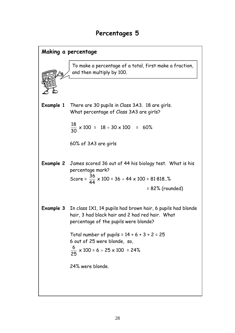![](_page_27_Figure_1.jpeg)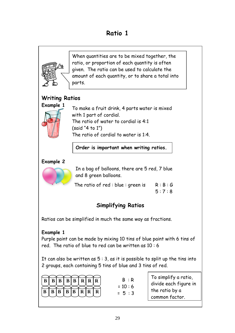## **Ratio 1**

![](_page_28_Figure_1.jpeg)

Purple paint can be made by mixing 10 tins of blue paint with 6 tins of red. The ratio of blue to red can be written as 10 : 6

It can also be written as  $5:3$ , as it is possible to split up the tins into 2 groups, each containing 5 tins of blue and 3 tins of red.

|                                                                                                 |  |  | $\overline{B}   \overline{B}   \overline{B}   \overline{B}   \overline{B}   \overline{R}   \overline{R}   \overline{R}$ |  |
|-------------------------------------------------------------------------------------------------|--|--|-------------------------------------------------------------------------------------------------------------------------|--|
| $\boxed{B}$ $\boxed{B}$ $\boxed{B}$ $\boxed{B}$ $\boxed{B}$ $\boxed{R}$ $\boxed{R}$ $\boxed{R}$ |  |  |                                                                                                                         |  |

 $B : R$  $= 10 : 6$  $= 5 : 3$ 

To simplify a ratio, divide each figure in the ratio by a common factor.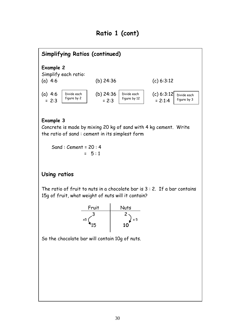## **Ratio 1 (cont)**

![](_page_29_Figure_1.jpeg)

#### **Example 3**

Concrete is made by mixing 20 kg of sand with 4 kg cement. Write the ratio of sand : cement in its simplest form

 Sand : Cement = 20 : 4  $= 5:1$ 

#### **Using ratios**

The ratio of fruit to nuts in a chocolate bar is  $3:2$ . If a bar contains 15g of fruit, what weight of nuts will it contain?

![](_page_29_Figure_7.jpeg)

So the chocolate bar will contain 10g of nuts.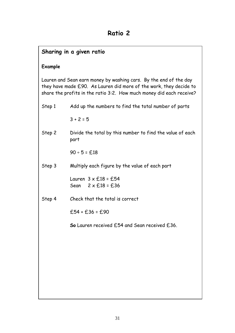## **Sharing in a given ratio**

#### **Example**

Lauren and Sean earn money by washing cars. By the end of the day they have made £90. As Lauren did more of the work, they decide to share the profits in the ratio 3:2. How much money did each receive?

| Step 1 | Add up the numbers to find the total number of parts              |
|--------|-------------------------------------------------------------------|
|        | $3 + 2 = 5$                                                       |
| Step 2 | Divide the total by this number to find the value of each<br>part |
|        | $90 \div 5 = 0.18$                                                |
| Step 3 | Multiply each figure by the value of each part                    |
|        | Lauren $3 \times £18 = £54$<br>Sean $2 \times £18 = £36$          |
| Step 4 | Check that the total is correct                                   |
|        | $£54 + £36 = £90$                                                 |
|        | So Lauren received £54 and Sean received £36.                     |
|        |                                                                   |
|        |                                                                   |
|        |                                                                   |
|        |                                                                   |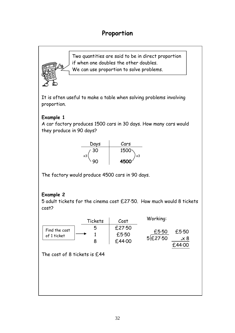## **Proportion**

Two quantities are said to be in direct proportion if when one doubles the other doubles. We can use proportion to solve problems.

It is often useful to make a table when solving problems involving proportion.

#### **Example 1**

A car factory produces 1500 cars in 30 days. How many cars would they produce in 90 days?

![](_page_31_Figure_5.jpeg)

The factory would produce 4500 cars in 90 days.

#### **Example 2**

5 adult tickets for the cinema cost £27·50. How much would 8 tickets cost?

|                              | Tickets | Cost                      | Working:           |                                 |
|------------------------------|---------|---------------------------|--------------------|---------------------------------|
| Find the cost<br>of 1 ticket | 5<br>8  | £27.50<br>£5.50<br>£44.00 | £5.50<br>5 £ 27.50 | £5.50<br>$4\times 8$<br>f.44.00 |
| The cost of 8 tickets is £44 |         |                           |                    |                                 |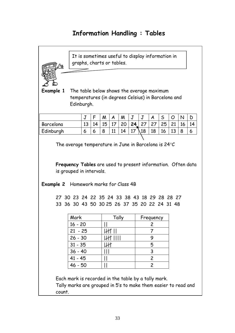## **Information Handling : Tables**

![](_page_32_Figure_1.jpeg)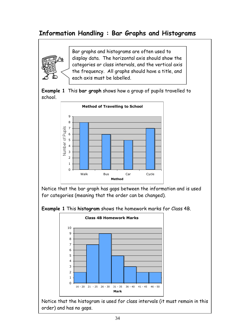## **Information Handling : Bar Graphs and Histograms**

![](_page_33_Picture_1.jpeg)

Bar graphs and histograms are often used to display data. The horizontal axis should show the categories or class intervals, and the vertical axis the frequency. All graphs should have a title, and each axis must be labelled.

**Example 1** This **bar graph** shows how a group of pupils travelled to school.

![](_page_33_Figure_4.jpeg)

Notice that the bar graph has gaps between the information and is used for categories (meaning that the order can be changed).

![](_page_33_Figure_6.jpeg)

![](_page_33_Figure_7.jpeg)

Notice that the histogram is used for class intervals (it must remain in this order) and has no gaps.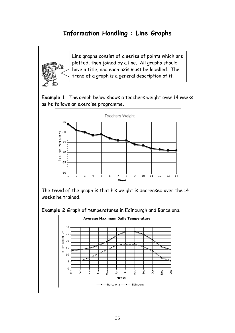## **Information Handling : Line Graphs**

![](_page_34_Picture_1.jpeg)

Line graphs consist of a series of points which are plotted, then joined by a line. All graphs should have a title, and each axis must be labelled. The trend of a graph is a general description of it.

![](_page_34_Figure_3.jpeg)

![](_page_34_Figure_4.jpeg)

The trend of the graph is that his weight is decreased over the 14 weeks he trained.

![](_page_34_Figure_6.jpeg)

![](_page_34_Figure_7.jpeg)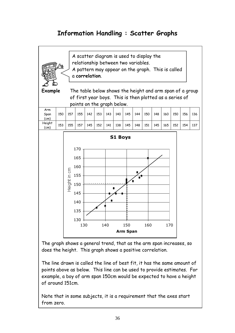## **Information Handling : Scatter Graphs**

![](_page_35_Figure_1.jpeg)

The graph shows a general trend, that as the arm span increases, so does the height. This graph shows a positive correlation.

The line drawn is called the line of best fit, it has the same amount of points above as below. This line can be used to provide estimates. For example, a boy of arm span 150cm would be expected to have a height of around 151cm.

Note that in some subjects, it is a requirement that the axes start from zero.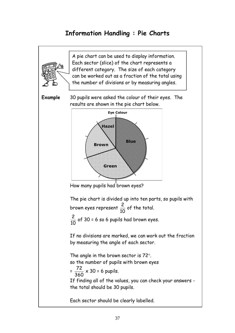## **Information Handling : Pie Charts**

![](_page_36_Figure_1.jpeg)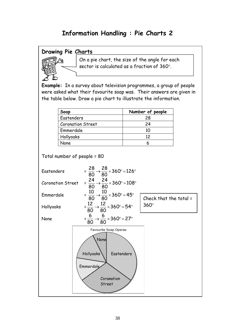## **Information Handling : Pie Charts 2**

#### **Drawing Pie Charts**

![](_page_37_Picture_2.jpeg)

sector is calculated as a fraction of 360°. On a pie chart, the size of the angle for each

**Example:** In a survey about television programmes, a group of people were asked what their favourite soap was. Their answers are given in the table below. Draw a pie chart to illustrate the information.

| Soap                     | Number of people |
|--------------------------|------------------|
| Eastenders               | 28               |
| <b>Coronation Street</b> | 24               |
| Emmerdale                | 10               |
| Hollyoaks                | 12               |
| Jone.                    |                  |

Total number of people = 80

![](_page_37_Figure_7.jpeg)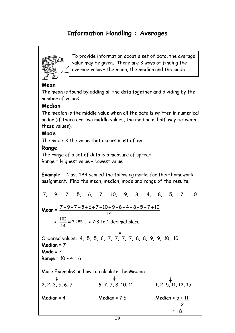## **Information Handling : Averages**

![](_page_38_Picture_1.jpeg)

To provide information about a set of data, the average value may be given. There are 3 ways of finding the average value – the mean, the median and the mode.

#### **Mean**

The mean is found by adding all the data together and dividing by the number of values.

#### **Median**

The median is the middle value when all the data is written in numerical order (if there are two middle values, the median is half-way between these values).

#### **Mode**

The mode is the value that occurs most often.

#### **Range**

The range of a set of data is a measure of spread. Range = Highest value – Lowest value

**Example** Class 1A4 scored the following marks for their homework assignment. Find the mean, median, mode and range of the results.

7, 9, 7, 5, 6, 7, 10, 9, 8, 4, 8, 5, 7, 10  
\nMean = 
$$
\frac{7+9+7+5+6+7+10+9+8+4+8+5+7+10}{14}
$$
\n= 
$$
\frac{102}{14} = 7.285... = 7 \cdot 3
$$
 to 1 decimal place  
\nOrdered values: 4, 5, 5, 6, 7, 7, 7, 7, 8, 8, 9, 9, 10, 10  
\nMedian = 7  
\nMode = 7  
\nRange = 10 - 4 = 6  
\nMore Examples on how to calculate the Median  
\n+  
\n2, 2, 3, 5, 6, 7  
\n6, 7, 7, 8, 10, 11  
\n1, 2, 5, 11, 12, 15  
\nMedian = 4  
\nMedian = 7 \cdot 5  
\nMedian = 
$$
\frac{5+11}{2}
$$
\n= 8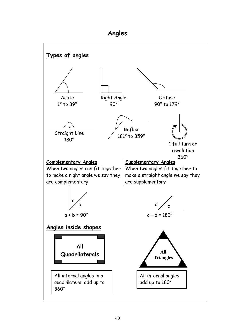## **Angles**

![](_page_39_Figure_1.jpeg)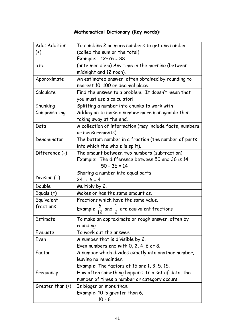## **Mathematical Dictionary (Key words):**

| Add; Addition          | To combine 2 or more numbers to get one number                    |
|------------------------|-------------------------------------------------------------------|
| $^{(+)}$               | (called the sum or the total)                                     |
|                        | Example: 12+76 = 88                                               |
| a.m.                   | (ante meridiem) Any time in the morning (between                  |
|                        | midnight and 12 noon).                                            |
| Approximate            | An estimated answer, often obtained by rounding to                |
|                        | nearest 10, 100 or decimal place.                                 |
| Calculate              | Find the answer to a problem. It doesn't mean that                |
|                        | you must use a calculator!                                        |
| Chunking               | Splitting a number into chunks to work with                       |
| Compensating           | Adding on to make a number more manageable then                   |
|                        | taking away at the end.                                           |
| Data                   | A collection of information (may include facts, numbers           |
|                        | or measurements).                                                 |
| Denominator            | The bottom number in a fraction (the number of parts              |
|                        | into which the whole is split).                                   |
| Difference (-)         | The amount between two numbers (subtraction).                     |
|                        | Example: The difference between 50 and 36 is 14                   |
|                        | $50 - 36 = 14$                                                    |
|                        | Sharing a number into equal parts.                                |
| Division $(+)$         | $24 ÷ 6 = 4$                                                      |
| Double                 | Multiply by 2.                                                    |
| Equals $(=)$           | Makes or has the same amount as.                                  |
| Equivalent             | Fractions which have the same value.                              |
| fractions              | Example $\frac{6}{12}$ and $\frac{1}{2}$ are equivalent fractions |
| Estimate               | To make an approximate or rough answer, often by                  |
|                        | rounding.                                                         |
| Evaluate               | To work out the answer.                                           |
| Even                   | A number that is divisible by 2.                                  |
|                        | Even numbers end with 0, 2, 4, 6 or 8.                            |
| Factor                 | A number which divides exactly into another number,               |
|                        | leaving no remainder.                                             |
|                        | Example: The factors of $15$ are $1, 3, 5, 15$ .                  |
| Frequency              | How often something happens. In a set of data, the                |
|                        | number of times a number or category occurs.                      |
| Greater than $(\cdot)$ | Is bigger or more than.                                           |
|                        | Example: 10 is greater than 6.                                    |
|                        | $10 \times 6$                                                     |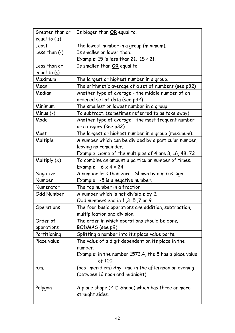| Greater than or     | Is bigger than OR equal to.                            |
|---------------------|--------------------------------------------------------|
| equal to $(2)$      |                                                        |
| Least               | The lowest number in a group (minimum).                |
| Less than $(\cdot)$ | Is smaller or lower than.                              |
|                     | Example: 15 is less than 21. $15 \times 21$ .          |
| Less than or        | Is smaller than OR equal to.                           |
| equal to $($ )      |                                                        |
| Maximum             | The largest or highest number in a group.              |
| Mean                | The arithmetic average of a set of numbers (see p32)   |
| Median              | Another type of average - the middle number of an      |
|                     | ordered set of data (see p32)                          |
| Minimum             | The smallest or lowest number in a group.              |
| Minus $(-)$         | To subtract. (sometimes referred to as take away)      |
| Mode                | Another type of average - the most frequent number     |
|                     | or category (see p32)                                  |
| Most                | The largest or highest number in a group (maximum).    |
| Multiple            | A number which can be divided by a particular number,  |
|                     | leaving no remainder.                                  |
|                     | Example Some of the multiples of 4 are 8, 16, 48, 72   |
| Multiply $(x)$      | To combine an amount a particular number of times.     |
|                     | Example<br>$6 \times 4 = 24$                           |
| Negative            | A number less than zero. Shown by a minus sign.        |
| Number              | Example -5 is a negative number.                       |
| Numerator           | The top number in a fraction.                          |
| <b>Odd Number</b>   | A number which is not divisible by 2.                  |
|                     | Odd numbers end in 1, 3, 5, 7 or 9.                    |
| Operations          | The four basic operations are addition, subtraction,   |
|                     | multiplication and division.                           |
| Order of            | The order in which operations should be done.          |
| operations          | BODMAS (see p9)                                        |
| Partitioning        | Splitting a number into it's place value parts.        |
| Place value         | The value of a digit dependent on its place in the     |
|                     | number.                                                |
|                     | Example: in the number 1573.4, the 5 has a place value |
|                     | of 100.                                                |
| p.m.                | (post meridiem) Any time in the afternoon or evening   |
|                     | (between 12 noon and midnight).                        |
|                     |                                                        |
| Polygon             | A plane shape (2-D Shape) which has three or more      |
|                     | straight sides.                                        |
|                     |                                                        |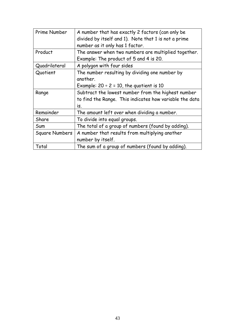| Prime Number   | A number that has exactly 2 factors (can only be        |
|----------------|---------------------------------------------------------|
|                | divided by itself and 1). Note that 1 is not a prime    |
|                | number as it only has 1 factor.                         |
| Product        | The answer when two numbers are multiplied together.    |
|                | Example: The product of 5 and 4 is 20.                  |
| Quadrilateral  | A polygon with four sides                               |
| Quotient       | The number resulting by dividing one number by          |
|                | another.                                                |
|                | Example: $20 \div 2 = 10$ , the quotient is 10          |
| Range          | Subtract the lowest number from the highest number      |
|                | to find the Range. This indicates how variable the data |
|                | is.                                                     |
| Remainder      | The amount left over when dividing a number.            |
| Share          | To divide into equal groups.                            |
| Sum            | The total of a group of numbers (found by adding).      |
| Square Numbers | A number that results from multiplying another          |
|                | number by itself.                                       |
| Total          | The sum of a group of numbers (found by adding).        |